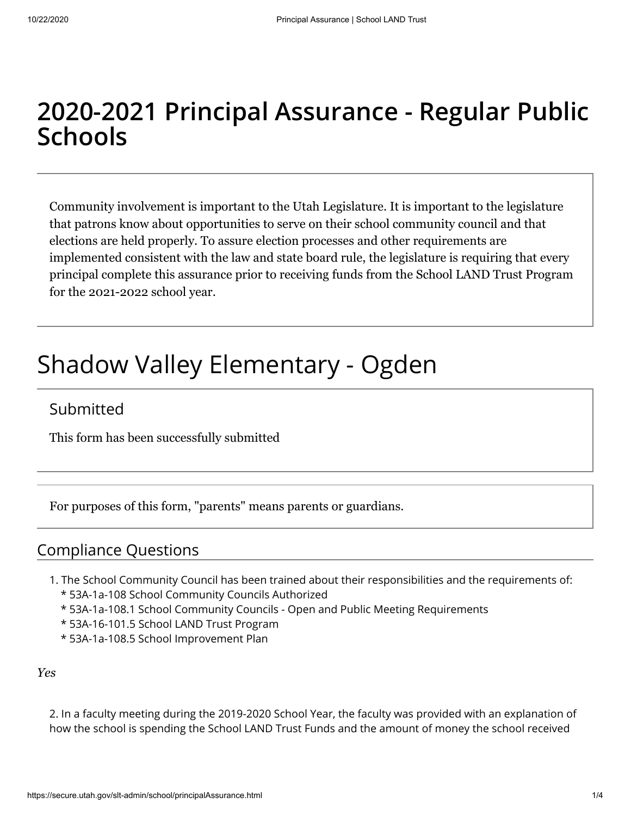## **2020-2021 Principal Assurance - Regular Public Schools**

Community involvement is important to the Utah Legislature. It is important to the legislature that patrons know about opportunities to serve on their school community council and that elections are held properly. To assure election processes and other requirements are implemented consistent with the law and state board rule, the legislature is requiring that every principal complete this assurance prior to receiving funds from the School LAND Trust Program for the 2021-2022 school year.

# Shadow Valley Elementary - Ogden

## Submitted

This form has been successfully submitted

For purposes of this form, "parents" means parents or guardians.

### Compliance Questions

- 1. The School Community Council has been trained about their responsibilities and the requirements of: \* 53A-1a-108 School Community Councils Authorized
	- \* 53A-1a-108.1 School Community Councils Open and Public Meeting Requirements
	- \* 53A-16-101.5 School LAND Trust Program
	- \* 53A-1a-108.5 School Improvement Plan

*Yes*

2. In a faculty meeting during the 2019-2020 School Year, the faculty was provided with an explanation of how the school is spending the School LAND Trust Funds and the amount of money the school received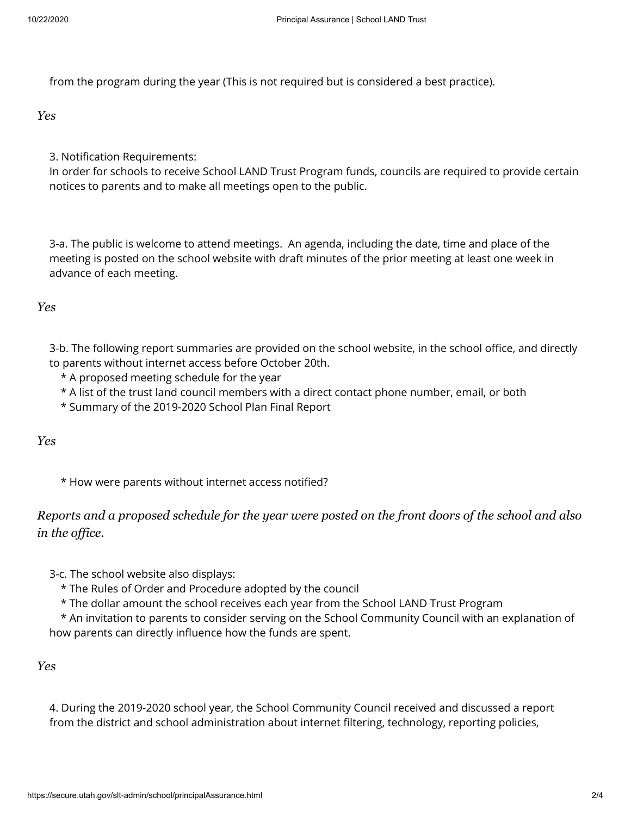from the program during the year (This is not required but is considered a best practice).

*Yes*

3. Notification Requirements:

In order for schools to receive School LAND Trust Program funds, councils are required to provide certain notices to parents and to make all meetings open to the public.

3-a. The public is welcome to attend meetings. An agenda, including the date, time and place of the meeting is posted on the school website with draft minutes of the prior meeting at least one week in advance of each meeting.

#### *Yes*

3-b. The following report summaries are provided on the school website, in the school office, and directly to parents without internet access before October 20th.

\* A proposed meeting schedule for the year

\* A list of the trust land council members with a direct contact phone number, email, or both

\* Summary of the 2019-2020 School Plan Final Report

*Yes*

\* How were parents without internet access notified?

#### *Reports and a proposed schedule for the year were posted on the front doors of the school and also in the office.*

3-c. The school website also displays:

\* The Rules of Order and Procedure adopted by the council

\* The dollar amount the school receives each year from the School LAND Trust Program

 \* An invitation to parents to consider serving on the School Community Council with an explanation of how parents can directly influence how the funds are spent.

#### *Yes*

4. During the 2019-2020 school year, the School Community Council received and discussed a report from the district and school administration about internet filtering, technology, reporting policies,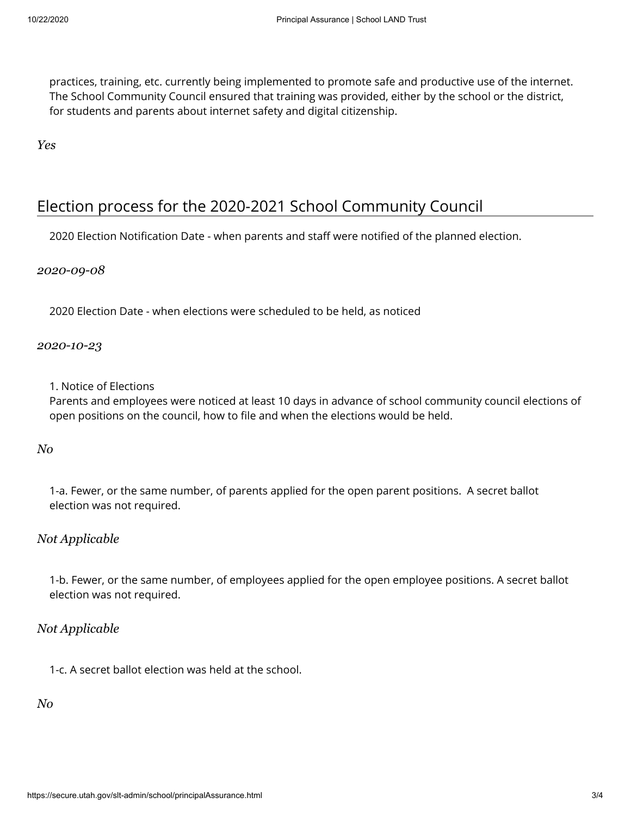practices, training, etc. currently being implemented to promote safe and productive use of the internet. The School Community Council ensured that training was provided, either by the school or the district, for students and parents about internet safety and digital citizenship.

*Yes*

## Election process for the 2020-2021 School Community Council

2020 Election Notification Date - when parents and staff were notified of the planned election.

*2020-09-08*

2020 Election Date - when elections were scheduled to be held, as noticed

*2020-10-23*

1. Notice of Elections

Parents and employees were noticed at least 10 days in advance of school community council elections of open positions on the council, how to file and when the elections would be held.

*No*

1-a. Fewer, or the same number, of parents applied for the open parent positions. A secret ballot election was not required.

#### *Not Applicable*

1-b. Fewer, or the same number, of employees applied for the open employee positions. A secret ballot election was not required.

#### *Not Applicable*

1-c. A secret ballot election was held at the school.

*No*